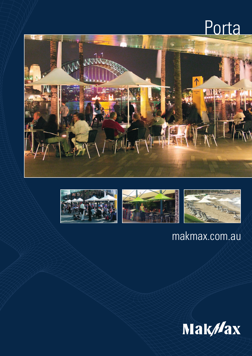# Porta









### makmax.com.au